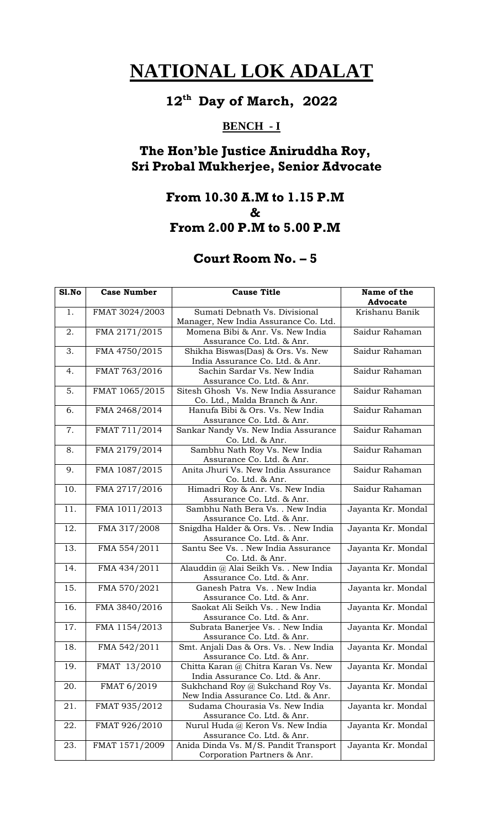#### **12 th Day of March, 2022**

## **BENCH - I**

# **The Hon'ble Justice Aniruddha Roy, Sri Probal Mukherjee, Senior Advocate**

#### **From 10.30 A.M to 1.15 P.M & From 2.00 P.M to 5.00 P.M**

| S1.No             | <b>Case Number</b> | <b>Cause Title</b>                                               | Name of the<br><b>Advocate</b> |
|-------------------|--------------------|------------------------------------------------------------------|--------------------------------|
| 1.                | FMAT 3024/2003     | Sumati Debnath Vs. Divisional                                    | Krishanu Banik                 |
|                   |                    | Manager, New India Assurance Co. Ltd.                            |                                |
| 2.                | FMA 2171/2015      | Momena Bibi & Anr. Vs. New India                                 | Saidur Rahaman                 |
|                   |                    | Assurance Co. Ltd. & Anr.                                        |                                |
| 3.                | FMA 4750/2015      | Shikha Biswas(Das) & Ors. Vs. New                                | Saidur Rahaman                 |
|                   |                    | India Assurance Co. Ltd. & Anr.                                  |                                |
| 4.                | FMAT 763/2016      | Sachin Sardar Vs. New India<br>Assurance Co. Ltd. & Anr.         | Saidur Rahaman                 |
| 5.                | FMAT 1065/2015     | Sitesh Ghosh Vs. New India Assurance                             | Saidur Rahaman                 |
|                   |                    | Co. Ltd., Malda Branch & Anr.                                    |                                |
| 6.                | FMA 2468/2014      | Hanufa Bibi & Ors. Vs. New India                                 | Saidur Rahaman                 |
|                   |                    | Assurance Co. Ltd. & Anr.                                        |                                |
| 7.                | FMAT 711/2014      | Sankar Nandy Vs. New India Assurance                             | Saidur Rahaman                 |
|                   |                    | Co. Ltd. & Anr.                                                  |                                |
| 8.                | FMA 2179/2014      | Sambhu Nath Roy Vs. New India                                    | Saidur Rahaman                 |
|                   |                    | Assurance Co. Ltd. & Anr.<br>Anita Jhuri Vs. New India Assurance | Saidur Rahaman                 |
| 9.                | FMA 1087/2015      | Co. Ltd. & Anr.                                                  |                                |
| 10.               | FMA 2717/2016      | Himadri Roy & Anr. Vs. New India                                 | Saidur Rahaman                 |
|                   |                    | Assurance Co. Ltd. & Anr.                                        |                                |
| 11.               | FMA 1011/2013      | Sambhu Nath Bera Vs. . New India                                 | Jayanta Kr. Mondal             |
|                   |                    | Assurance Co. Ltd. & Anr.                                        |                                |
| 12.               | FMA 317/2008       | Snigdha Halder & Ors. Vs. . New India                            | Jayanta Kr. Mondal             |
|                   |                    | Assurance Co. Ltd. & Anr.                                        |                                |
| 13.               | FMA 554/2011       | Santu See Vs. . New India Assurance                              | Jayanta Kr. Mondal             |
|                   |                    | Co. Ltd. & Anr.                                                  |                                |
| 14.               | FMA 434/2011       | Alauddin @ Alai Seikh Vs. . New India                            | Jayanta Kr. Mondal             |
|                   |                    | Assurance Co. Ltd. & Anr.                                        |                                |
| $\overline{15}$ . | FMA 570/2021       | Ganesh Patra Vs. . New India                                     | Jayanta kr. Mondal             |
| 16.               |                    | Assurance Co. Ltd. & Anr.                                        |                                |
|                   | FMA 3840/2016      | Saokat Ali Seikh Vs. . New India<br>Assurance Co. Ltd. & Anr.    | Jayanta Kr. Mondal             |
| 17.               | FMA 1154/2013      | Subrata Banerjee Vs. . New India                                 | Jayanta Kr. Mondal             |
|                   |                    | Assurance Co. Ltd. & Anr.                                        |                                |
| 18.               | FMA 542/2011       | Smt. Anjali Das & Ors. Vs. . New India                           | Jayanta Kr. Mondal             |
|                   |                    | Assurance Co. Ltd. & Anr.                                        |                                |
| 19.               | FMAT 13/2010       | Chitta Karan @ Chitra Karan Vs. New                              | Jayanta Kr. Mondal             |
|                   |                    | India Assurance Co. Ltd. & Anr.                                  |                                |
| 20.               | FMAT 6/2019        | Sukhchand Roy @ Sukchand Roy Vs.                                 | Jayanta Kr. Mondal             |
|                   |                    | New India Assurance Co. Ltd. & Anr.                              |                                |
| 21.               | FMAT 935/2012      | Sudama Chourasia Vs. New India                                   | Jayanta kr. Mondal             |
|                   |                    | Assurance Co. Ltd. & Anr.                                        |                                |
| 22.               | FMAT 926/2010      | Nurul Huda @ Keron Vs. New India                                 | Jayanta Kr. Mondal             |
|                   |                    | Assurance Co. Ltd. & Anr.                                        |                                |
| 23.               | FMAT 1571/2009     | Anida Dinda Vs. M/S. Pandit Transport                            | Jayanta Kr. Mondal             |
|                   |                    | Corporation Partners & Anr.                                      |                                |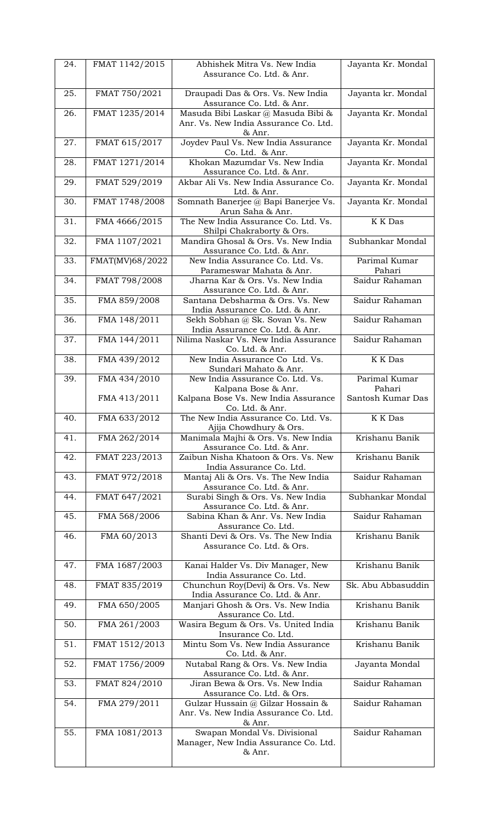| 24. | FMAT 1142/2015  | Abhishek Mitra Vs. New India                                                    | Jayanta Kr. Mondal      |
|-----|-----------------|---------------------------------------------------------------------------------|-------------------------|
|     |                 | Assurance Co. Ltd. & Anr.                                                       |                         |
| 25. | FMAT 750/2021   | Draupadi Das & Ors. Vs. New India                                               | Jayanta kr. Mondal      |
| 26. | FMAT 1235/2014  | Assurance Co. Ltd. & Anr.<br>Masuda Bibi Laskar @ Masuda Bibi &                 | Jayanta Kr. Mondal      |
|     |                 | Anr. Vs. New India Assurance Co. Ltd.                                           |                         |
| 27. | FMAT 615/2017   | & Anr.<br>Joydev Paul Vs. New India Assurance                                   | Jayanta Kr. Mondal      |
|     |                 | Co. Ltd. & Anr.<br>Khokan Mazumdar Vs. New India                                | Jayanta Kr. Mondal      |
| 28. | FMAT 1271/2014  | Assurance Co. Ltd. & Anr.                                                       |                         |
| 29. | FMAT 529/2019   | Akbar Ali Vs. New India Assurance Co.<br>Ltd. & Anr.                            | Jayanta Kr. Mondal      |
| 30. | FMAT 1748/2008  | Somnath Banerjee @ Bapi Banerjee Vs.                                            | Jayanta Kr. Mondal      |
| 31. | FMA 4666/2015   | Arun Saha & Anr.<br>The New India Assurance Co. Ltd. Vs.                        | <b>K</b> K Das          |
|     |                 | Shilpi Chakraborty & Ors.                                                       |                         |
| 32. | FMA 1107/2021   | Mandira Ghosal & Ors. Vs. New India<br>Assurance Co. Ltd. & Anr.                | Subhankar Mondal        |
| 33. | FMAT(MV)68/2022 | New India Assurance Co. Ltd. Vs.<br>Parameswar Mahata & Anr.                    | Parimal Kumar<br>Pahari |
| 34. | FMAT 798/2008   | Jharna Kar & Ors. Vs. New India                                                 | Saidur Rahaman          |
| 35. | FMA 859/2008    | Assurance Co. Ltd. & Anr.<br>Santana Debsharma & Ors. Vs. New                   | Saidur Rahaman          |
|     |                 | India Assurance Co. Ltd. & Anr.                                                 |                         |
| 36. | FMA 148/2011    | Sekh Sobhan @ Sk. Sovan Vs. New<br>India Assurance Co. Ltd. & Anr.              | Saidur Rahaman          |
| 37. | FMA 144/2011    | Nilima Naskar Vs. New India Assurance                                           | Saidur Rahaman          |
| 38. | FMA 439/2012    | Co. Ltd. & Anr.<br>New India Assurance Co Ltd. Vs.                              | <b>K</b> K Das          |
|     |                 | Sundari Mahato & Anr.                                                           |                         |
| 39. | FMA 434/2010    | New India Assurance Co. Ltd. Vs.<br>Kalpana Bose & Anr.                         | Parimal Kumar<br>Pahari |
|     | FMA 413/2011    | Kalpana Bose Vs. New India Assurance<br>Co. Ltd. & Anr.                         | Santosh Kumar Das       |
| 40. | FMA 633/2012    | The New India Assurance Co. Ltd. Vs.                                            | <b>K</b> K Das          |
|     |                 | Ajija Chowdhury & Ors.                                                          |                         |
|     |                 |                                                                                 |                         |
| 41. | FMA 262/2014    | Manimala Majhi & Ors. Vs. New India<br>Assurance Co. Ltd. & Anr.                | Krishanu Banik          |
| 42. | FMAT 223/2013   | Zaibun Nisha Khatoon & Ors. Vs. New<br>India Assurance Co. Ltd.                 | Krishanu Banik          |
| 43. | FMAT 972/2018   | Mantaj Ali & Ors. Vs. The New India                                             | Saidur Rahaman          |
| 44. | FMAT 647/2021   | Assurance Co. Ltd. & Anr.<br>Surabi Singh & Ors. Vs. New India                  | Subhankar Mondal        |
|     |                 | Assurance Co. Ltd. & Anr.                                                       |                         |
| 45. | FMA 568/2006    | Sabina Khan & Anr. Vs. New India<br>Assurance Co. Ltd.                          | Saidur Rahaman          |
| 46. | FMA 60/2013     | Shanti Devi & Ors. Vs. The New India<br>Assurance Co. Ltd. & Ors.               | Krishanu Banik          |
|     |                 |                                                                                 |                         |
| 47. | FMA 1687/2003   | Kanai Halder Vs. Div Manager, New<br>India Assurance Co. Ltd.                   | Krishanu Banik          |
| 48. | FMAT 835/2019   | Chunchun Roy(Devi) & Ors. Vs. New                                               | Sk. Abu Abbasuddin      |
| 49. | FMA 650/2005    | India Assurance Co. Ltd. & Anr.<br>Manjari Ghosh & Ors. Vs. New India           | Krishanu Banik          |
|     |                 | Assurance Co. Ltd.                                                              |                         |
| 50. | FMA 261/2003    | Wasira Begum & Ors. Vs. United India<br>Insurance Co. Ltd.                      | Krishanu Banik          |
| 51. | FMAT 1512/2013  | Mintu Som Vs. New India Assurance<br>Co. Ltd. & Anr.                            | Krishanu Banik          |
| 52. | FMAT 1756/2009  | Nutabal Rang & Ors. Vs. New India                                               | Jayanta Mondal          |
| 53. | FMAT 824/2010   | Assurance Co. Ltd. & Anr.<br>Jiran Bewa & Ors. Vs. New India                    | Saidur Rahaman          |
|     |                 | Assurance Co. Ltd. & Ors.                                                       |                         |
| 54. | FMA 279/2011    | Gulzar Hussain @ Gilzar Hossain &<br>Anr. Vs. New India Assurance Co. Ltd.      | Saidur Rahaman          |
| 55. |                 | & Anr.                                                                          | Saidur Rahaman          |
|     | FMA 1081/2013   | Swapan Mondal Vs. Divisional<br>Manager, New India Assurance Co. Ltd.<br>& Anr. |                         |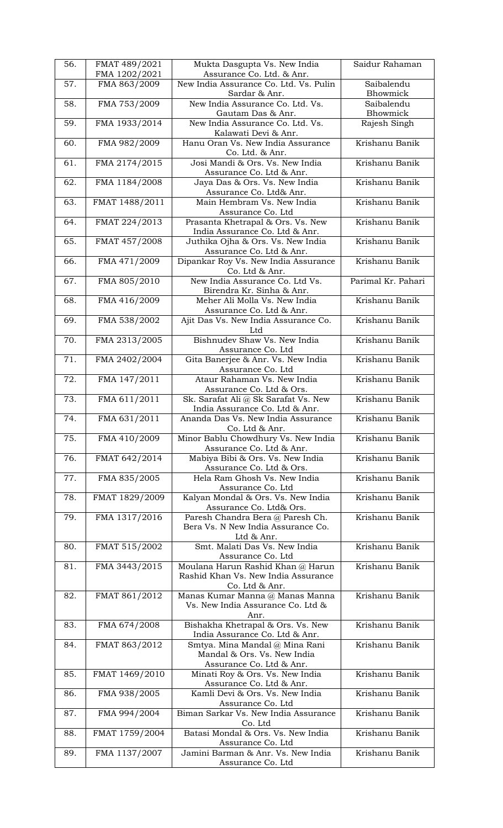| 56. | FMAT 489/2021<br>FMA 1202/2021 | Mukta Dasgupta Vs. New India<br>Assurance Co. Ltd. & Anr. | Saidur Rahaman     |
|-----|--------------------------------|-----------------------------------------------------------|--------------------|
| 57. | FMA 863/2009                   | New India Assurance Co. Ltd. Vs. Pulin                    | Saibalendu         |
|     |                                | Sardar & Anr.                                             | Bhowmick           |
| 58. | FMA 753/2009                   | New India Assurance Co. Ltd. Vs.                          | Saibalendu         |
|     |                                | Gautam Das & Anr.                                         | Bhowmick           |
|     |                                |                                                           |                    |
| 59. | FMA 1933/2014                  | New India Assurance Co. Ltd. Vs.                          | Rajesh Singh       |
|     |                                | Kalawati Devi & Anr.                                      |                    |
| 60. | FMA 982/2009                   | Hanu Oran Vs. New India Assurance                         | Krishanu Banik     |
|     |                                | Co. Ltd. & Anr.                                           |                    |
| 61. | FMA 2174/2015                  | Josi Mandi & Ors. Vs. New India                           | Krishanu Banik     |
|     |                                | Assurance Co. Ltd & Anr.                                  |                    |
| 62. | FMA 1184/2008                  | Jaya Das & Ors. Vs. New India                             | Krishanu Banik     |
|     |                                | Assurance Co. Ltd& Anr.                                   |                    |
| 63. | FMAT 1488/2011                 | Main Hembram Vs. New India                                | Krishanu Banik     |
|     |                                | Assurance Co. Ltd                                         |                    |
| 64. | FMAT 224/2013                  | Prasanta Khetrapal & Ors. Vs. New                         | Krishanu Banik     |
|     |                                |                                                           |                    |
|     |                                | India Assurance Co. Ltd & Anr.                            |                    |
| 65. | FMAT 457/2008                  | Juthika Ojha & Ors. Vs. New India                         | Krishanu Banik     |
|     |                                | Assurance Co. Ltd & Anr.                                  |                    |
| 66. | FMA 471/2009                   | Dipankar Roy Vs. New India Assurance                      | Krishanu Banik     |
|     |                                | Co. Ltd & Anr.                                            |                    |
| 67. | FMA 805/2010                   | New India Assurance Co. Ltd Vs.                           | Parimal Kr. Pahari |
|     |                                | Birendra Kr. Sinha & Anr.                                 |                    |
| 68. | FMA 416/2009                   | Meher Ali Molla Vs. New India                             | Krishanu Banik     |
|     |                                | Assurance Co. Ltd & Anr.                                  |                    |
| 69. | FMA 538/2002                   | Ajit Das Vs. New India Assurance Co.                      | Krishanu Banik     |
|     |                                | Ltd                                                       |                    |
| 70. |                                | Bishnudev Shaw Vs. New India                              | Krishanu Banik     |
|     | FMA 2313/2005                  |                                                           |                    |
|     |                                | Assurance Co. Ltd                                         |                    |
| 71. | FMA 2402/2004                  | Gita Banerjee & Anr. Vs. New India                        | Krishanu Banik     |
|     |                                | Assurance Co. Ltd                                         |                    |
| 72. | FMA 147/2011                   | Ataur Rahaman Vs. New India                               | Krishanu Banik     |
|     |                                | Assurance Co. Ltd & Ors.                                  |                    |
| 73. | FMA 611/2011                   | Sk. Sarafat Ali @ Sk Sarafat Vs. New                      | Krishanu Banik     |
|     |                                | India Assurance Co. Ltd & Anr.                            |                    |
| 74. | FMA 631/2011                   | Ananda Das Vs. New India Assurance                        | Krishanu Banik     |
|     |                                | Co. Ltd & Anr.                                            |                    |
| 75. | FMA 410/2009                   | Minor Bablu Chowdhury Vs. New India                       | Krishanu Banik     |
|     |                                | Assurance Co. Ltd & Anr.                                  |                    |
| 76. | FMAT 642/2014                  | Mabiya Bibi & Ors. Vs. New India                          | Krishanu Banik     |
|     |                                | Assurance Co. Ltd & Ors.                                  |                    |
| 77. | FMA 835/2005                   | Hela Ram Ghosh Vs. New India                              | Krishanu Banik     |
|     |                                | Assurance Co. Ltd                                         |                    |
| 78. | FMAT 1829/2009                 |                                                           | Krishanu Banik     |
|     |                                | Kalyan Mondal & Ors. Vs. New India                        |                    |
|     |                                | Assurance Co. Ltd& Ors.                                   |                    |
| 79. | FMA 1317/2016                  | Paresh Chandra Bera @ Paresh Ch.                          | Krishanu Banik     |
|     |                                | Bera Vs. N New India Assurance Co.                        |                    |
|     |                                | Ltd & Anr.                                                |                    |
| 80. | FMAT 515/2002                  | Smt. Malati Das Vs. New India                             | Krishanu Banik     |
|     |                                | Assurance Co. Ltd                                         |                    |
| 81. | FMA 3443/2015                  | Moulana Harun Rashid Khan @ Harun                         | Krishanu Banik     |
|     |                                | Rashid Khan Vs. New India Assurance                       |                    |
|     |                                | Co. Ltd & Anr.                                            |                    |
| 82. | FMAT 861/2012                  | Manas Kumar Manna @ Manas Manna                           | Krishanu Banik     |
|     |                                | Vs. New India Assurance Co. Ltd &                         |                    |
|     |                                | Anr.                                                      |                    |
| 83. | FMA 674/2008                   | Bishakha Khetrapal & Ors. Vs. New                         | Krishanu Banik     |
|     |                                | India Assurance Co. Ltd & Anr.                            |                    |
|     |                                |                                                           | Krishanu Banik     |
| 84. | FMAT 863/2012                  | Smtya. Mina Mandal @ Mina Rani                            |                    |
|     |                                | Mandal & Ors. Vs. New India                               |                    |
|     |                                | Assurance Co. Ltd & Anr.                                  |                    |
| 85. | FMAT 1469/2010                 | Minati Roy & Ors. Vs. New India                           | Krishanu Banik     |
|     |                                | Assurance Co. Ltd & Anr.                                  |                    |
| 86. | FMA 938/2005                   | Kamli Devi & Ors. Vs. New India                           | Krishanu Banik     |
|     |                                | Assurance Co. Ltd                                         |                    |
| 87. | FMA 994/2004                   | Biman Sarkar Vs. New India Assurance                      | Krishanu Banik     |
|     |                                | Co. Ltd                                                   |                    |
| 88. | FMAT 1759/2004                 | Batasi Mondal & Ors. Vs. New India                        | Krishanu Banik     |
|     |                                | Assurance Co. Ltd                                         |                    |
| 89. | FMA 1137/2007                  | Jamini Barman & Anr. Vs. New India                        | Krishanu Banik     |
|     |                                | Assurance Co. Ltd                                         |                    |
|     |                                |                                                           |                    |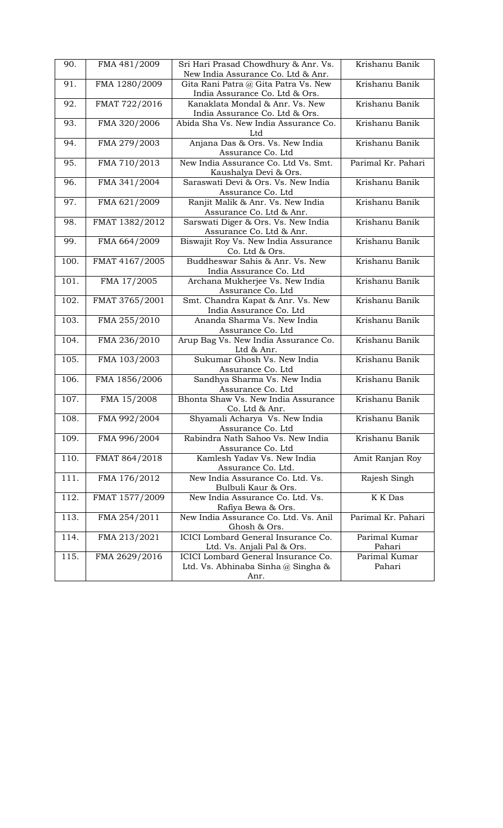| 90.  | FMA 481/2009   | Sri Hari Prasad Chowdhury & Anr. Vs.<br>New India Assurance Co. Ltd & Anr. | Krishanu Banik     |
|------|----------------|----------------------------------------------------------------------------|--------------------|
|      |                |                                                                            |                    |
| 91.  | FMA 1280/2009  | Gita Rani Patra @ Gita Patra Vs. New<br>India Assurance Co. Ltd & Ors.     | Krishanu Banik     |
| 92.  | FMAT 722/2016  | Kanaklata Mondal & Anr. Vs. New<br>India Assurance Co. Ltd & Ors.          | Krishanu Banik     |
|      |                |                                                                            | Krishanu Banik     |
| 93.  | FMA 320/2006   | Abida Sha Vs. New India Assurance Co.<br>Ltd                               |                    |
| 94.  | FMA 279/2003   | Anjana Das & Ors. Vs. New India                                            | Krishanu Banik     |
|      |                | Assurance Co. Ltd                                                          |                    |
| 95.  | FMA 710/2013   | New India Assurance Co. Ltd Vs. Smt.                                       | Parimal Kr. Pahari |
|      |                | Kaushalya Devi & Ors.                                                      |                    |
| 96.  | FMA 341/2004   | Saraswati Devi & Ors. Vs. New India                                        | Krishanu Banik     |
|      |                | Assurance Co. Ltd                                                          |                    |
| 97.  | FMA 621/2009   | Ranjit Malik & Anr. Vs. New India                                          | Krishanu Banik     |
|      |                | Assurance Co. Ltd & Anr.                                                   |                    |
| 98.  | FMAT 1382/2012 | Sarswati Diger & Ors. Vs. New India                                        | Krishanu Banik     |
|      |                | Assurance Co. Ltd & Anr.                                                   |                    |
| 99.  | FMA 664/2009   | Biswajit Roy Vs. New India Assurance<br>Co. Ltd & Ors.                     | Krishanu Banik     |
| 100. | FMAT 4167/2005 | Buddheswar Sahis & Anr. Vs. New                                            | Krishanu Banik     |
|      |                | India Assurance Co. Ltd                                                    |                    |
| 101. | FMA 17/2005    | Archana Mukherjee Vs. New India                                            | Krishanu Banik     |
|      |                | Assurance Co. Ltd                                                          |                    |
| 102. | FMAT 3765/2001 | Smt. Chandra Kapat & Anr. Vs. New                                          | Krishanu Banik     |
|      |                | India Assurance Co. Ltd                                                    |                    |
| 103. | FMA 255/2010   | Ananda Sharma Vs. New India                                                | Krishanu Banik     |
|      |                | Assurance Co. Ltd                                                          |                    |
| 104. | FMA 236/2010   | Arup Bag Vs. New India Assurance Co.                                       | Krishanu Banik     |
|      |                | Ltd & Anr.                                                                 |                    |
| 105. | FMA 103/2003   | Sukumar Ghosh Vs. New India                                                | Krishanu Banik     |
|      |                | Assurance Co. Ltd                                                          |                    |
| 106. | FMA 1856/2006  | Sandhya Sharma Vs. New India                                               | Krishanu Banik     |
|      |                | Assurance Co. Ltd                                                          |                    |
| 107. | FMA 15/2008    | Bhonta Shaw Vs. New India Assurance                                        | Krishanu Banik     |
|      |                | Co. Ltd & Anr.                                                             |                    |
| 108. | FMA 992/2004   | Shyamali Acharya Vs. New India                                             | Krishanu Banik     |
|      |                | Assurance Co. Ltd                                                          |                    |
| 109. | FMA 996/2004   | Rabindra Nath Sahoo Vs. New India                                          | Krishanu Banik     |
|      |                | Assurance Co. Ltd                                                          |                    |
| 110. | FMAT 864/2018  | Kamlesh Yaday Vs. New India                                                | Amit Ranjan Roy    |
|      |                | Assurance Co. Ltd.                                                         |                    |
| 111. | FMA 176/2012   | New India Assurance Co. Ltd. Vs.                                           | Rajesh Singh       |
|      |                | Bulbuli Kaur & Ors.                                                        |                    |
| 112. | FMAT 1577/2009 | New India Assurance Co. Ltd. Vs.                                           | K K Das            |
|      |                | Rafiya Bewa & Ors.                                                         |                    |
| 113. | FMA 254/2011   | New India Assurance Co. Ltd. Vs. Anil                                      | Parimal Kr. Pahari |
|      |                | Ghosh & Ors.                                                               |                    |
| 114. | FMA 213/2021   | ICICI Lombard General Insurance Co.                                        | Parimal Kumar      |
|      |                | Ltd. Vs. Anjali Pal & Ors.                                                 | Pahari             |
| 115. | FMA 2629/2016  | ICICI Lombard General Insurance Co.                                        | Parimal Kumar      |
|      |                | Ltd. Vs. Abhinaba Sinha @ Singha &                                         | Pahari             |
|      |                | Anr.                                                                       |                    |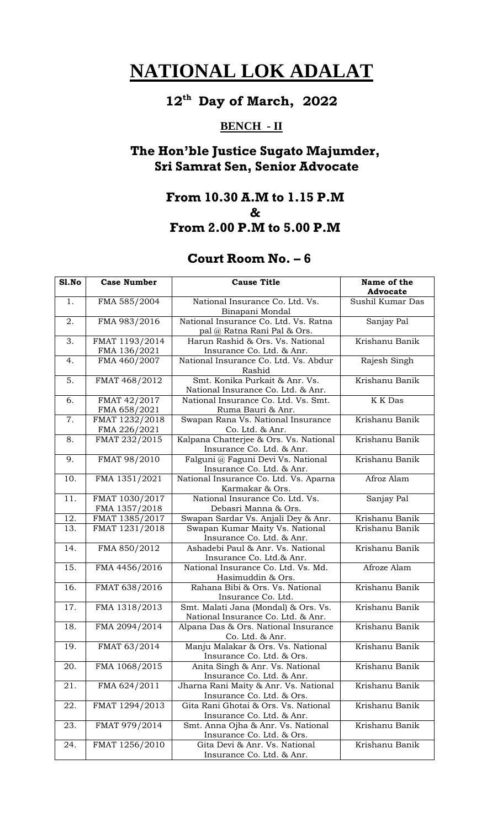#### **12 th Day of March, 2022**

## **BENCH - II**

# **The Hon'ble Justice Sugato Majumder, Sri Samrat Sen, Senior Advocate**

#### **From 10.30 A.M to 1.15 P.M & From 2.00 P.M to 5.00 P.M**

| S1.No             | <b>Case Number</b>              | <b>Cause Title</b>                                                         | Name of the      |
|-------------------|---------------------------------|----------------------------------------------------------------------------|------------------|
|                   |                                 |                                                                            | <b>Advocate</b>  |
| 1.                | FMA 585/2004                    | National Insurance Co. Ltd. Vs.<br>Binapani Mondal                         | Sushil Kumar Das |
| 2.                | FMA 983/2016                    | National Insurance Co. Ltd. Vs. Ratna<br>pal @ Ratna Rani Pal & Ors.       | Sanjay Pal       |
| 3.                | FMAT 1193/2014<br>FMA 136/2021  | Harun Rashid & Ors. Vs. National<br>Insurance Co. Ltd. & Anr.              | Krishanu Banik   |
| 4.                | FMA 460/2007                    | National Insurance Co. Ltd. Vs. Abdur<br>Rashid                            | Rajesh Singh     |
| 5.                | FMAT 468/2012                   | Smt. Konika Purkait & Anr. Vs.<br>National Insurance Co. Ltd. & Anr.       | Krishanu Banik   |
| 6.                | FMAT 42/2017<br>FMA 658/2021    | National Insurance Co. Ltd. Vs. Smt.<br>Ruma Bauri & Anr.                  | <b>K</b> K Das   |
| 7.                | FMAT 1232/2018<br>FMA 226/2021  | Swapan Rana Vs. National Insurance<br>Co. Ltd. & Anr.                      | Krishanu Banik   |
| 8.                | FMAT 232/2015                   | Kalpana Chatterjee & Ors. Vs. National<br>Insurance Co. Ltd. & Anr.        | Krishanu Banik   |
| 9.                | FMAT 98/2010                    | Falguni @ Faguni Devi Vs. National<br>Insurance Co. Ltd. & Anr.            | Krishanu Banik   |
| 10.               | FMA 1351/2021                   | National Insurance Co. Ltd. Vs. Aparna<br>Karmakar & Ors.                  | Afroz Alam       |
| 11.               | FMAT 1030/2017<br>FMA 1357/2018 | National Insurance Co. Ltd. Vs.<br>Debasri Manna & Ors.                    | Sanjay Pal       |
| 12.               | FMAT 1385/2017                  | Swapan Sardar Vs. Anjali Dey & Anr.                                        | Krishanu Banik   |
| $\overline{13}$ . | FMAT 1231/2018                  | Swapan Kumar Maity Vs. National<br>Insurance Co. Ltd. & Anr.               | Krishanu Banik   |
| 14.               | FMA 850/2012                    | Ashadebi Paul & Anr. Vs. National<br>Insurance Co. Ltd.& Anr.              | Krishanu Banik   |
| $\overline{15}$ . | FMA 4456/2016                   | National Insurance Co. Ltd. Vs. Md.<br>Hasimuddin & Ors.                   | Afroze Alam      |
| 16.               | FMAT 638/2016                   | Rahana Bibi & Ors. Vs. National<br>Insurance Co. Ltd.                      | Krishanu Banik   |
| 17.               | FMA 1318/2013                   | Smt. Malati Jana (Mondal) & Ors. Vs.<br>National Insurance Co. Ltd. & Anr. | Krishanu Banik   |
| 18.               | FMA 2094/2014                   | Alpana Das & Ors. National Insurance<br>Co. Ltd. & Anr.                    | Krishanu Banik   |
| 19.               | FMAT 63/2014                    | Manju Malakar & Ors. Vs. National<br>Insurance Co. Ltd. & Ors.             | Krishanu Banik   |
| 20.               | FMA 1068/2015                   | Anita Singh & Anr. Vs. National<br>Insurance Co. Ltd. & Anr.               | Krishanu Banik   |
| 21.               | FMA 624/2011                    | Jharna Rani Maity & Anr. Vs. National<br>Insurance Co. Ltd. & Ors.         | Krishanu Banik   |
| 22.               | FMAT 1294/2013                  | Gita Rani Ghotai & Ors. Vs. National<br>Insurance Co. Ltd. & Anr.          | Krishanu Banik   |
| 23.               | FMAT 979/2014                   | Smt. Anna Ojha & Anr. Vs. National<br>Insurance Co. Ltd. & Ors.            | Krishanu Banik   |
| 24.               | FMAT 1256/2010                  | Gita Devi & Anr. Vs. National<br>Insurance Co. Ltd. & Anr.                 | Krishanu Banik   |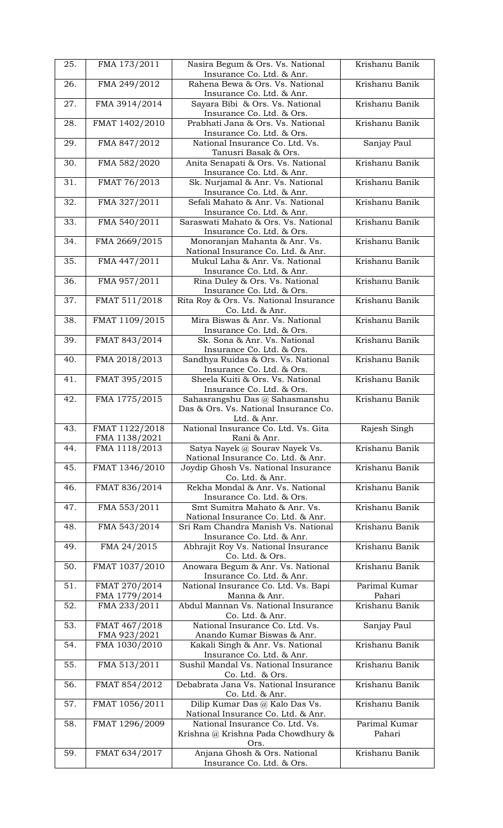| 25. | FMA 173/2011                   | Nasira Begum & Ors. Vs. National                                     | Krishanu Banik          |
|-----|--------------------------------|----------------------------------------------------------------------|-------------------------|
| 26. | FMA 249/2012                   | Insurance Co. Ltd. & Anr.<br>Rahena Bewa & Ors. Vs. National         | Krishanu Banik          |
|     |                                | Insurance Co. Ltd. & Anr.                                            |                         |
| 27. | FMA 3914/2014                  | Sayara Bibi & Ors. Vs. National<br>Insurance Co. Ltd. & Ors.         | Krishanu Banik          |
| 28. | FMAT 1402/2010                 | Prabhati Jana & Ors. Vs. National                                    | Krishanu Banik          |
| 29. | FMA 847/2012                   | Insurance Co. Ltd. & Ors.<br>National Insurance Co. Ltd. Vs.         | Sanjay Paul             |
|     |                                | Tanusri Basak & Ors.                                                 |                         |
| 30. | FMA 582/2020                   | Anita Senapati & Ors. Vs. National<br>Insurance Co. Ltd. & Anr.      | Krishanu Banik          |
| 31. | FMAT 76/2013                   | Sk. Nurjamal & Anr. Vs. National                                     | Krishanu Banik          |
| 32. | FMA 327/2011                   | Insurance Co. Ltd. & Anr.<br>Sefali Mahato & Anr. Vs. National       | Krishanu Banik          |
|     |                                | Insurance Co. Ltd. & Anr.                                            |                         |
| 33. | FMA 540/2011                   | Saraswati Mahato & Ors. Vs. National<br>Insurance Co. Ltd. & Ors.    | Krishanu Banik          |
| 34. | FMA 2669/2015                  | Monoranjan Mahanta & Anr. Vs.                                        | Krishanu Banik          |
|     |                                | National Insurance Co. Ltd. & Anr.                                   | Krishanu Banik          |
| 35. | FMA 447/2011                   | Mukul Laha & Anr. Vs. National<br>Insurance Co. Ltd. & Anr.          |                         |
| 36. | FMA 957/2011                   | Rina Duley & Ors. Vs. National                                       | Krishanu Banik          |
| 37. | FMAT 511/2018                  | Insurance Co. Ltd. & Ors.<br>Rita Roy & Ors. Vs. National Insurance  | Krishanu Banik          |
|     |                                | Co. Ltd. & Anr.                                                      |                         |
| 38. | FMAT 1109/2015                 | Mira Biswas & Anr. Vs. National<br>Insurance Co. Ltd. & Ors.         | Krishanu Banik          |
| 39. | FMAT 843/2014                  | Sk. Sona & Anr. Vs. National                                         | Krishanu Banik          |
| 40. | FMA 2018/2013                  | Insurance Co. Ltd. & Ors.<br>Sandhya Ruidas & Ors. Vs. National      | Krishanu Banik          |
|     |                                | Insurance Co. Ltd. & Ors.                                            |                         |
| 41. | FMAT 395/2015                  | Sheela Kuiti & Ors. Vs. National<br>Insurance Co. Ltd. & Ors.        | Krishanu Banik          |
| 42. | FMA 1775/2015                  | Sahasrangshu Das @ Sahasmanshu                                       | Krishanu Banik          |
|     |                                | Das & Ors. Vs. National Insurance Co.<br>Ltd. & Anr.                 |                         |
| 43. | FMAT 1122/2018                 | National Insurance Co. Ltd. Vs. Gita                                 | Rajesh Singh            |
| 44. | FMA 1138/2021<br>FMA 1118/2013 | Rani & Anr.<br>Satya Nayek @ Sourav Nayek Vs.                        | Krishanu Banik          |
|     |                                | National Insurance Co. Ltd. & Anr.                                   |                         |
| 45. | FMAT 1346/2010                 | Joydip Ghosh Vs. National Insurance<br>Co. Ltd. & Anr.               | Krishanu Banik          |
| 46. | FMAT 836/2014                  | Rekha Mondal & Anr. Vs. National                                     | Krishanu Banik          |
| 47. | FMA 553/2011                   | Insurance Co. Ltd. & Ors.<br>Smt Sumitra Mahato & Anr. Vs.           | Krishanu Banik          |
|     |                                | National Insurance Co. Ltd. & Anr.                                   |                         |
| 48. | FMA 543/2014                   | Sri Ram Chandra Manish Vs. National<br>Insurance Co. Ltd. & Anr.     | Krishanu Banik          |
| 49. | FMA 24/2015                    | Abhrajit Roy Vs. National Insurance                                  | Krishanu Banik          |
| 50. | FMAT 1037/2010                 | Co. Ltd. & Ors.<br>Anowara Begum & Anr. Vs. National                 | Krishanu Banik          |
|     |                                | Insurance Co. Ltd. & Anr.                                            |                         |
| 51. | FMAT 270/2014<br>FMA 1779/2014 | National Insurance Co. Ltd. Vs. Bapi<br>Manna & Anr.                 | Parimal Kumar<br>Pahari |
| 52. | FMA 233/2011                   | Abdul Mannan Vs. National Insurance                                  | Krishanu Banik          |
| 53. | FMAT 467/2018                  | Co. Ltd. & Anr.<br>National Insurance Co. Ltd. Vs.                   | Sanjay Paul             |
|     | FMA 923/2021                   | Anando Kumar Biswas & Anr.                                           |                         |
| 54. | FMA 1030/2010                  | Kakali Singh & Anr. Vs. National<br>Insurance Co. Ltd. & Anr.        | Krishanu Banik          |
| 55. | FMA 513/2011                   | Sushil Mandal Vs. National Insurance                                 | Krishanu Banik          |
| 56. | FMAT 854/2012                  | Co. Ltd. & Ors.<br>Debabrata Jana Vs. National Insurance             | Krishanu Banik          |
|     |                                | Co. Ltd. & Anr.                                                      |                         |
| 57. | FMAT 1056/2011                 | Dilip Kumar Das @ Kalo Das Vs.<br>National Insurance Co. Ltd. & Anr. | Krishanu Banik          |
| 58. | FMAT 1296/2009                 | National Insurance Co. Ltd. Vs.                                      | Parimal Kumar           |
|     |                                | Krishna @ Krishna Pada Chowdhury &                                   | Pahari                  |
| 59. | FMAT 634/2017                  | Ors.<br>Anjana Ghosh & Ors. National                                 | Krishanu Banik          |
|     |                                | Insurance Co. Ltd. & Ors.                                            |                         |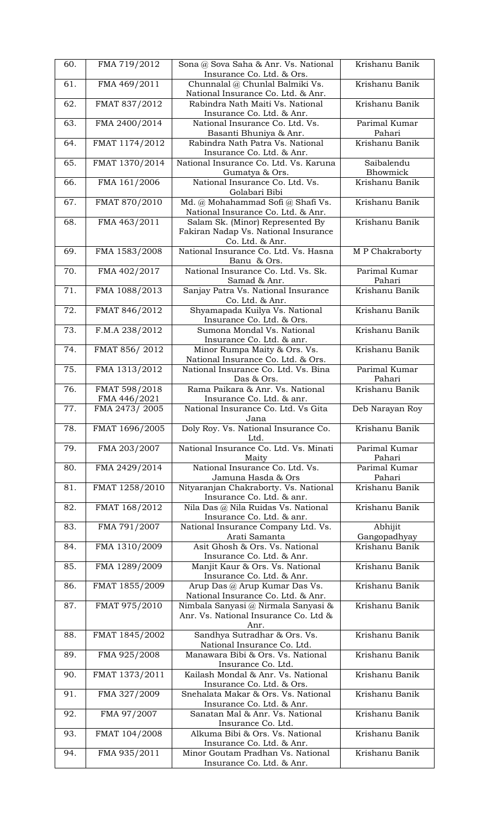| 60. | FMA 719/2012                  | Sona @ Sova Saha & Anr. Vs. National<br>Insurance Co. Ltd. & Ors.                                              | Krishanu Banik                |
|-----|-------------------------------|----------------------------------------------------------------------------------------------------------------|-------------------------------|
| 61. | FMA 469/2011                  | Chunnalal @ Chunlal Balmiki Vs.<br>National Insurance Co. Ltd. & Anr.                                          | Krishanu Banik                |
| 62. | FMAT 837/2012                 | Rabindra Nath Maiti Vs. National<br>Insurance Co. Ltd. & Anr.                                                  | Krishanu Banik                |
| 63. | FMA 2400/2014                 | National Insurance Co. Ltd. Vs.<br>Basanti Bhuniya & Anr.                                                      | Parimal Kumar<br>Pahari       |
| 64. | FMAT 1174/2012                | Rabindra Nath Patra Vs. National<br>Insurance Co. Ltd. & Anr.                                                  | Krishanu Banik                |
| 65. | FMAT 1370/2014                | National Insurance Co. Ltd. Vs. Karuna                                                                         | Saibalendu<br><b>Bhowmick</b> |
| 66. | FMA 161/2006                  | Gumatya & Ors.<br>National Insurance Co. Ltd. Vs.                                                              | Krishanu Banik                |
| 67. | FMAT 870/2010                 | Golabari Bibi<br>Md. @ Mohahammad Sofi @ Shafi Vs.                                                             | Krishanu Banik                |
| 68. | FMA 463/2011                  | National Insurance Co. Ltd. & Anr.<br>Salam Sk. (Minor) Represented By<br>Fakiran Nadap Vs. National Insurance | Krishanu Banik                |
| 69. | FMA 1583/2008                 | Co. Ltd. & Anr.<br>National Insurance Co. Ltd. Vs. Hasna                                                       | <b>MP</b> Chakraborty         |
| 70. | FMA 402/2017                  | Banu & Ors.<br>National Insurance Co. Ltd. Vs. Sk.                                                             | Parimal Kumar                 |
| 71. |                               | Samad & Anr.                                                                                                   | Pahari<br>Krishanu Banik      |
|     | FMA 1088/2013                 | Sanjay Patra Vs. National Insurance<br>Co. Ltd. & Anr.                                                         |                               |
| 72. | FMAT 846/2012                 | Shyamapada Kuilya Vs. National<br>Insurance Co. Ltd. & Ors.                                                    | Krishanu Banik                |
| 73. | F.M.A 238/2012                | Sumona Mondal Vs. National<br>Insurance Co. Ltd. & anr.                                                        | Krishanu Banik                |
| 74. | FMAT 856/2012                 | Minor Rumpa Maity & Ors. Vs.<br>National Insurance Co. Ltd. & Ors.                                             | Krishanu Banik                |
| 75. | FMA 1313/2012                 | National Insurance Co. Ltd. Vs. Bina<br>Das & Ors.                                                             | Parimal Kumar<br>Pahari       |
| 76. | FMAT 598/2018<br>FMA 446/2021 | Rama Paikara & Anr. Vs. National<br>Insurance Co. Ltd. & anr.                                                  | Krishanu Banik                |
| 77. | FMA 2473/2005                 | National Insurance Co. Ltd. Vs Gita<br>Jana                                                                    | Deb Narayan Roy               |
| 78. | FMAT 1696/2005                | Doly Roy. Vs. National Insurance Co.<br>Ltd.                                                                   | Krishanu Banik                |
| 79. | FMA 203/2007                  | National Insurance Co. Ltd. Vs. Minati<br>Maity                                                                | Parimal Kumar<br>Pahari       |
| 80. | FMA 2429/2014                 | National Insurance Co. Ltd. Vs.<br>Jamuna Hasda & Ors                                                          | Parimal Kumar<br>Pahari       |
| 81. | FMAT 1258/2010                | Nityaranjan Chakraborty. Vs. National<br>Insurance Co. Ltd. & anr.                                             | Krishanu Banik                |
| 82. | FMAT 168/2012                 | Nila Das @ Nila Ruidas Vs. National<br>Insurance Co. Ltd. & anr.                                               | Krishanu Banik                |
| 83. | FMA 791/2007                  | National Insurance Company Ltd. Vs.<br>Arati Samanta                                                           | Abhijit<br>Gangopadhyay       |
| 84. | FMA 1310/2009                 | Asit Ghosh & Ors. Vs. National<br>Insurance Co. Ltd. & Anr.                                                    | Krishanu Banik                |
| 85. | FMA 1289/2009                 | Manjit Kaur & Ors. Vs. National<br>Insurance Co. Ltd. & Anr.                                                   | Krishanu Banik                |
| 86. | FMAT 1855/2009                | Arup Das @ Arup Kumar Das Vs.<br>National Insurance Co. Ltd. & Anr.                                            | Krishanu Banik                |
| 87. | FMAT 975/2010                 | Nimbala Sanyasi @ Nirmala Sanyasi &<br>Anr. Vs. National Insurance Co. Ltd &                                   | Krishanu Banik                |
| 88. | FMAT 1845/2002                | Anr.<br>Sandhya Sutradhar & Ors. Vs.<br>National Insurance Co. Ltd.                                            | Krishanu Banik                |
| 89. | FMA 925/2008                  | Manawara Bibi & Ors. Vs. National<br>Insurance Co. Ltd.                                                        | Krishanu Banik                |
| 90. | FMAT 1373/2011                | Kailash Mondal & Anr. Vs. National<br>Insurance Co. Ltd. & Ors.                                                | Krishanu Banik                |
| 91. | FMA 327/2009                  | Snehalata Makar & Ors. Vs. National<br>Insurance Co. Ltd. & Anr.                                               | Krishanu Banik                |
| 92. | FMA 97/2007                   | Sanatan Mal & Anr. Vs. National<br>Insurance Co. Ltd.                                                          | Krishanu Banik                |
| 93. | FMAT 104/2008                 | Alkuma Bibi & Ors. Vs. National<br>Insurance Co. Ltd. & Anr.                                                   | Krishanu Banik                |
| 94. | FMA 935/2011                  | Minor Goutam Pradhan Vs. National<br>Insurance Co. Ltd. & Anr.                                                 | Krishanu Banik                |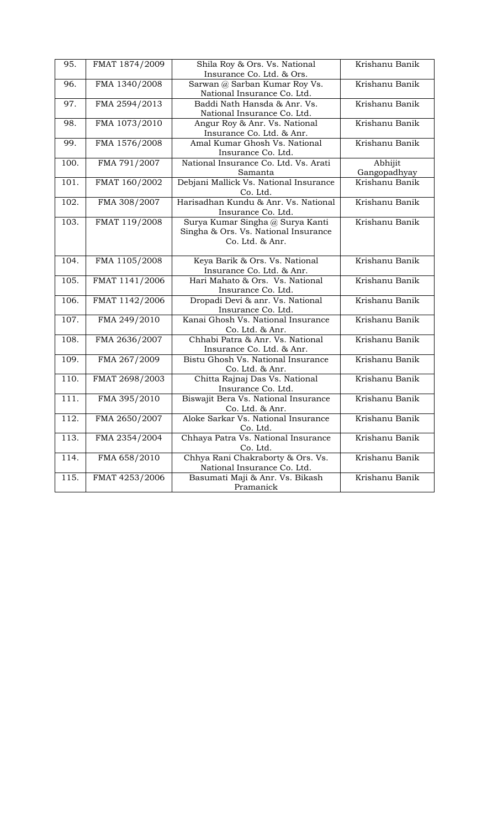| 95.  | FMAT 1874/2009 | Shila Roy & Ors. Vs. National          | Krishanu Banik |
|------|----------------|----------------------------------------|----------------|
|      |                | Insurance Co. Ltd. & Ors.              |                |
| 96.  | FMA 1340/2008  | Sarwan @ Sarban Kumar Roy Vs.          | Krishanu Banik |
|      |                | National Insurance Co. Ltd.            |                |
| 97.  | FMA 2594/2013  | Baddi Nath Hansda & Anr. Vs.           | Krishanu Banik |
|      |                | National Insurance Co. Ltd.            |                |
| 98.  | FMA 1073/2010  | Angur Roy & Anr. Vs. National          | Krishanu Banik |
|      |                | Insurance Co. Ltd. & Anr.              |                |
| 99.  | FMA 1576/2008  | Amal Kumar Ghosh Vs. National          | Krishanu Banik |
|      |                | Insurance Co. Ltd.                     |                |
| 100. | FMA 791/2007   | National Insurance Co. Ltd. Vs. Arati  | Abhijit        |
|      |                | Samanta                                | Gangopadhyay   |
| 101. | FMAT 160/2002  | Debjani Mallick Vs. National Insurance | Krishanu Banik |
|      |                | Co. Ltd.                               |                |
| 102. | FMA 308/2007   | Harisadhan Kundu & Anr. Vs. National   | Krishanu Banik |
|      |                | Insurance Co. Ltd.                     |                |
| 103. | FMAT 119/2008  | Surya Kumar Singha @ Surya Kanti       | Krishanu Banik |
|      |                | Singha & Ors. Vs. National Insurance   |                |
|      |                | Co. Ltd. & Anr.                        |                |
|      |                |                                        |                |
| 104. | FMA 1105/2008  | Keya Barik & Ors. Vs. National         | Krishanu Banik |
|      |                | Insurance Co. Ltd. & Anr.              |                |
| 105. | FMAT 1141/2006 | Hari Mahato & Ors. Vs. National        | Krishanu Banik |
|      |                | Insurance Co. Ltd.                     |                |
| 106. | FMAT 1142/2006 | Dropadi Devi & anr. Vs. National       | Krishanu Banik |
|      |                | Insurance Co. Ltd.                     |                |
| 107. | FMA 249/2010   | Kanai Ghosh Vs. National Insurance     | Krishanu Banik |
|      |                | Co. Ltd. & Anr.                        |                |
| 108. | FMA 2636/2007  | Chhabi Patra & Anr. Vs. National       | Krishanu Banik |
|      |                | Insurance Co. Ltd. & Anr.              |                |
| 109. | FMA 267/2009   | Bistu Ghosh Vs. National Insurance     | Krishanu Banik |
|      |                | Co. Ltd. & Anr.                        |                |
| 110. | FMAT 2698/2003 | Chitta Rajnaj Das Vs. National         | Krishanu Banik |
|      |                | Insurance Co. Ltd.                     |                |
| 111. | FMA 395/2010   | Biswajit Bera Vs. National Insurance   | Krishanu Banik |
|      |                | Co. Ltd. & Anr.                        |                |
| 112. | FMA 2650/2007  | Aloke Sarkar Vs. National Insurance    | Krishanu Banik |
|      |                | Co. Ltd.                               |                |
| 113. | FMA 2354/2004  | Chhaya Patra Vs. National Insurance    | Krishanu Banik |
|      |                | Co. Ltd.                               |                |
| 114. | FMA 658/2010   | Chhya Rani Chakraborty & Ors. Vs.      | Krishanu Banik |
|      |                | National Insurance Co. Ltd.            |                |
| 115. | FMAT 4253/2006 | Basumati Maji & Anr. Vs. Bikash        | Krishanu Banik |
|      |                | Pramanick                              |                |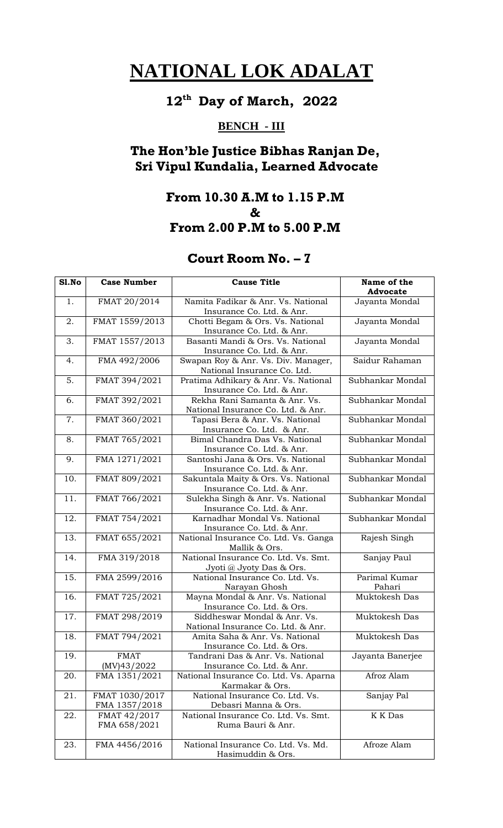#### **12 th Day of March, 2022**

## **BENCH - III**

## **The Hon'ble Justice Bibhas Ranjan De, Sri Vipul Kundalia, Learned Advocate**

## **From 10.30 A.M to 1.15 P.M & From 2.00 P.M to 5.00 P.M**

| S1.No | <b>Case Number</b> | <b>Cause Title</b>                                                 | Name of the<br><b>Advocate</b> |
|-------|--------------------|--------------------------------------------------------------------|--------------------------------|
| 1.    | FMAT 20/2014       | Namita Fadikar & Anr. Vs. National                                 |                                |
|       |                    | Insurance Co. Ltd. & Anr.                                          | Jayanta Mondal                 |
| 2.    | FMAT 1559/2013     | Chotti Begam & Ors. Vs. National                                   | Jayanta Mondal                 |
|       |                    | Insurance Co. Ltd. & Anr.                                          |                                |
| 3.    | FMAT 1557/2013     | Basanti Mandi & Ors. Vs. National                                  | Jayanta Mondal                 |
|       |                    | Insurance Co. Ltd. & Anr.                                          |                                |
| 4.    | FMA 492/2006       | Swapan Roy & Anr. Vs. Div. Manager,<br>National Insurance Co. Ltd. | Saidur Rahaman                 |
| 5.    | FMAT 394/2021      | Pratima Adhikary & Anr. Vs. National                               | Subhankar Mondal               |
|       |                    | Insurance Co. Ltd. & Anr.                                          |                                |
| 6.    | FMAT 392/2021      | Rekha Rani Samanta & Anr. Vs.                                      | Subhankar Mondal               |
|       |                    | National Insurance Co. Ltd. & Anr.                                 |                                |
| 7.    | FMAT 360/2021      | Tapasi Bera & Anr. Vs. National                                    | Subhankar Mondal               |
|       |                    | Insurance Co. Ltd. & Anr.                                          |                                |
| 8.    | FMAT 765/2021      | Bimal Chandra Das Vs. National                                     | Subhankar Mondal               |
|       |                    | Insurance Co. Ltd. & Anr.                                          |                                |
| 9.    | FMA 1271/2021      | Santoshi Jana & Ors. Vs. National                                  | Subhankar Mondal               |
|       |                    | Insurance Co. Ltd. & Anr.                                          |                                |
| 10.   | FMAT 809/2021      | Sakuntala Maity & Ors. Vs. National                                | Subhankar Mondal               |
|       |                    | Insurance Co. Ltd. & Anr.                                          |                                |
| 11.   | FMAT 766/2021      | Sulekha Singh & Anr. Vs. National                                  | Subhankar Mondal               |
|       |                    | Insurance Co. Ltd. & Anr.                                          |                                |
| 12.   | FMAT 754/2021      | Karnadhar Mondal Vs. National                                      | Subhankar Mondal               |
|       |                    | Insurance Co. Ltd. & Anr.                                          |                                |
| 13.   | FMAT 655/2021      | National Insurance Co. Ltd. Vs. Ganga                              | Rajesh Singh                   |
|       |                    | Mallik & Ors.                                                      |                                |
| 14.   | FMA 319/2018       | National Insurance Co. Ltd. Vs. Smt.                               | Sanjay Paul                    |
|       |                    | Jyoti @ Jyoty Das & Ors.                                           |                                |
| 15.   | FMA 2599/2016      | National Insurance Co. Ltd. Vs.                                    | Parimal Kumar                  |
| 16.   | FMAT 725/2021      | Narayan Ghosh<br>Mayna Mondal & Anr. Vs. National                  | Pahari<br>Muktokesh Das        |
|       |                    | Insurance Co. Ltd. & Ors.                                          |                                |
| 17.   | FMAT 298/2019      | Siddheswar Mondal & Anr. Vs.                                       | Muktokesh Das                  |
|       |                    | National Insurance Co. Ltd. & Anr.                                 |                                |
| 18.   | FMAT 794/2021      | Amita Saha & Anr. Vs. National                                     | Muktokesh Das                  |
|       |                    | Insurance Co. Ltd. & Ors.                                          |                                |
| 19.   | <b>FMAT</b>        | Tandrani Das & Anr. Vs. National                                   | Jayanta Banerjee               |
|       | (MV)43/2022        | Insurance Co. Ltd. & Anr.                                          |                                |
| 20.   | FMA 1351/2021      | National Insurance Co. Ltd. Vs. Aparna                             | Afroz Alam                     |
|       |                    | Karmakar & Ors.                                                    |                                |
| 21.   | FMAT 1030/2017     | National Insurance Co. Ltd. Vs.                                    | Sanjay Pal                     |
|       | FMA 1357/2018      | Debasri Manna & Ors.                                               |                                |
| 22.   | FMAT 42/2017       | National Insurance Co. Ltd. Vs. Smt.                               | <b>K</b> K Das                 |
|       | FMA 658/2021       | Ruma Bauri & Anr.                                                  |                                |
|       |                    |                                                                    |                                |
| 23.   | FMA 4456/2016      | National Insurance Co. Ltd. Vs. Md.                                | Afroze Alam                    |
|       |                    | Hasimuddin & Ors.                                                  |                                |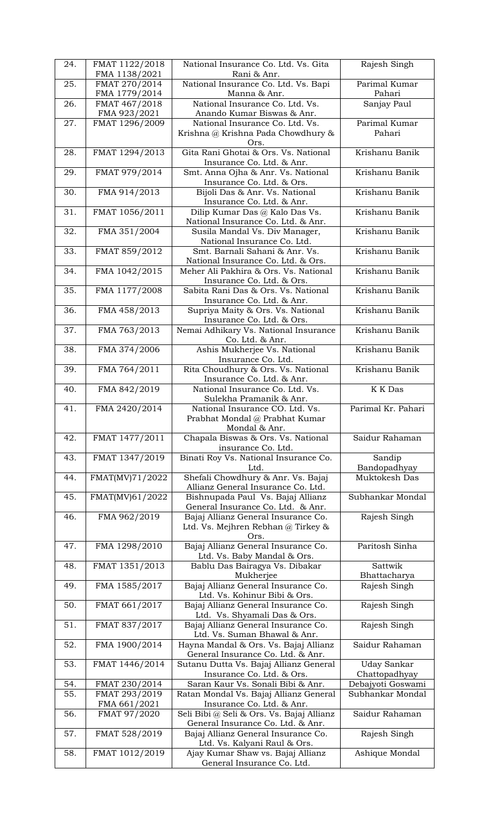| 24. | FMAT 1122/2018                 | National Insurance Co. Ltd. Vs. Gita                                     | Rajesh Singh                        |
|-----|--------------------------------|--------------------------------------------------------------------------|-------------------------------------|
| 25. | FMA 1138/2021<br>FMAT 270/2014 | Rani & Anr.<br>National Insurance Co. Ltd. Vs. Bapi                      | Parimal Kumar                       |
|     | FMA 1779/2014                  | Manna & Anr.                                                             | Pahari                              |
| 26. | FMAT 467/2018<br>FMA 923/2021  | National Insurance Co. Ltd. Vs.<br>Anando Kumar Biswas & Anr.            | Sanjay Paul                         |
| 27. | FMAT 1296/2009                 | National Insurance Co. Ltd. Vs.                                          | Parimal Kumar                       |
|     |                                | Krishna @ Krishna Pada Chowdhury &                                       | Pahari                              |
| 28. | FMAT 1294/2013                 | Ors.<br>Gita Rani Ghotai & Ors. Vs. National                             | Krishanu Banik                      |
|     |                                | Insurance Co. Ltd. & Anr.                                                |                                     |
| 29. | FMAT 979/2014                  | Smt. Anna Ojha & Anr. Vs. National<br>Insurance Co. Ltd. & Ors.          | Krishanu Banik                      |
| 30. | FMA 914/2013                   | Bijoli Das & Anr. Vs. National                                           | Krishanu Banik                      |
|     |                                | Insurance Co. Ltd. & Anr.                                                |                                     |
| 31. | FMAT 1056/2011                 | Dilip Kumar Das @ Kalo Das Vs.<br>National Insurance Co. Ltd. & Anr.     | Krishanu Banik                      |
| 32. | FMA 351/2004                   | Susila Mandal Vs. Div Manager,                                           | Krishanu Banik                      |
| 33. | FMAT 859/2012                  | National Insurance Co. Ltd.<br>Smt. Barnali Sahani & Anr. Vs.            | Krishanu Banik                      |
|     |                                | National Insurance Co. Ltd. & Ors.                                       |                                     |
| 34. | FMA 1042/2015                  | Meher Ali Pakhira & Ors. Vs. National                                    | Krishanu Banik                      |
| 35. | FMA 1177/2008                  | Insurance Co. Ltd. & Ors.<br>Sabita Rani Das & Ors. Vs. National         | Krishanu Banik                      |
|     |                                | Insurance Co. Ltd. & Anr.                                                |                                     |
| 36. | FMA 458/2013                   | Supriya Maity & Ors. Vs. National<br>Insurance Co. Ltd. & Ors.           | Krishanu Banik                      |
| 37. | FMA 763/2013                   | Nemai Adhikary Vs. National Insurance                                    | Krishanu Banik                      |
| 38. | FMA 374/2006                   | Co. Ltd. & Anr.<br>Ashis Mukherjee Vs. National                          | Krishanu Banik                      |
|     |                                | Insurance Co. Ltd.                                                       |                                     |
| 39. | FMA 764/2011                   | Rita Choudhury & Ors. Vs. National                                       | Krishanu Banik                      |
| 40. | FMA 842/2019                   | Insurance Co. Ltd. & Anr.<br>National Insurance Co. Ltd. Vs.             | <b>K</b> K Das                      |
|     |                                | Sulekha Pramanik & Anr.                                                  |                                     |
| 41. | FMA 2420/2014                  | National Insurance CO. Ltd. Vs.<br>Prabhat Mondal @ Prabhat Kumar        | Parimal Kr. Pahari                  |
|     |                                | Mondal & Anr.                                                            |                                     |
| 42. | FMAT 1477/2011                 | Chapala Biswas & Ors. Vs. National<br>insurance Co. Ltd.                 | Saidur Rahaman                      |
| 43. | FMAT 1347/2019                 | Binati Roy Vs. National Insurance Co.                                    | Sandip                              |
| 44. | FMAT(MV)71/2022                | Ltd.<br>Shefali Chowdhury & Anr. Vs. Bajaj                               | Bandopadhyay<br>Muktokesh Das       |
|     |                                | Allianz General Insurance Co. Ltd.                                       |                                     |
| 45. | FMAT(MV)61/2022                | Bishnupada Paul Vs. Bajaj Allianz                                        | Subhankar Mondal                    |
| 46. | FMA 962/2019                   | General Insurance Co. Ltd. & Anr.<br>Bajaj Allianz General Insurance Co. | Rajesh Singh                        |
|     |                                | Ltd. Vs. Mejhren Rebhan @ Tirkey &                                       |                                     |
| 47. | FMA 1298/2010                  | Ors.<br>Bajaj Allianz General Insurance Co.                              | Paritosh Sinha                      |
|     |                                | Ltd. Vs. Baby Mandal & Ors.                                              |                                     |
| 48. | FMAT 1351/2013                 | Bablu Das Bairagya Vs. Dibakar<br>Mukherjee                              | Sattwik<br>Bhattacharya             |
| 49. | FMA 1585/2017                  | Bajaj Allianz General Insurance Co.                                      | Rajesh Singh                        |
| 50. | FMAT 661/2017                  | Ltd. Vs. Kohinur Bibi & Ors.                                             | Rajesh Singh                        |
|     |                                | Bajaj Allianz General Insurance Co.<br>Ltd. Vs. Shyamali Das & Ors.      |                                     |
| 51. | FMAT 837/2017                  | Bajaj Allianz General Insurance Co.                                      | Rajesh Singh                        |
| 52. | FMA 1900/2014                  | Ltd. Vs. Suman Bhawal & Anr.<br>Hayna Mandal & Ors. Vs. Bajaj Allianz    | Saidur Rahaman                      |
|     |                                | General Insurance Co. Ltd. & Anr.                                        |                                     |
| 53. | FMAT 1446/2014                 | Sutanu Dutta Vs. Bajaj Allianz General<br>Insurance Co. Ltd. & Ors.      | <b>Uday Sankar</b><br>Chattopadhyay |
| 54. | FMAT 230/2014                  | Saran Kaur Vs. Sonali Bibi & Anr.                                        | Debajyoti Goswami                   |
| 55. | FMAT 293/2019                  | Ratan Mondal Vs. Bajaj Allianz General<br>Insurance Co. Ltd. & Anr.      | Subhankar Mondal                    |
| 56. | FMA 661/2021<br>FMAT 97/2020   | Seli Bibi @ Seli & Ors. Vs. Bajaj Allianz                                | Saidur Rahaman                      |
|     |                                | General Insurance Co. Ltd. & Anr.                                        |                                     |
| 57. | FMAT 528/2019                  | Bajaj Allianz General Insurance Co.<br>Ltd. Vs. Kalyani Raul & Ors.      | Rajesh Singh                        |
| 58. |                                |                                                                          |                                     |
|     | FMAT 1012/2019                 | Ajay Kumar Shaw vs. Bajaj Allianz<br>General Insurance Co. Ltd.          | Ashique Mondal                      |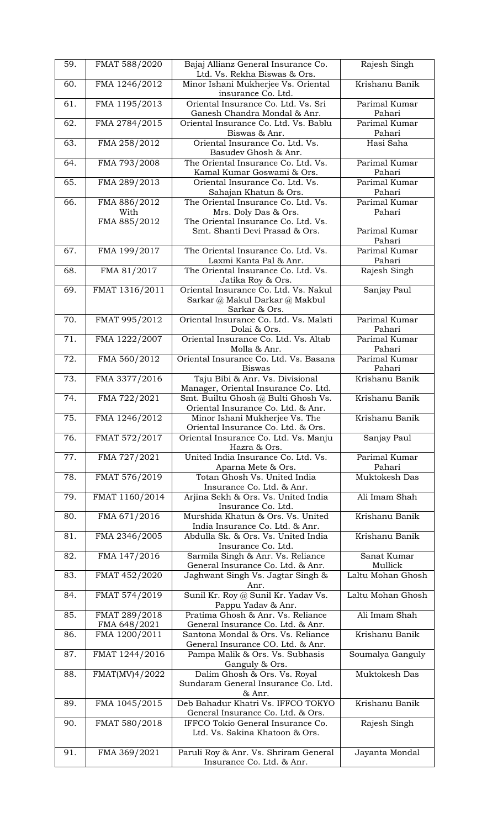| 59. | FMAT 588/2020  | Bajaj Allianz General Insurance Co.<br>Ltd. Vs. Rekha Biswas & Ors.         | Rajesh Singh            |
|-----|----------------|-----------------------------------------------------------------------------|-------------------------|
| 60. | FMA 1246/2012  | Minor Ishani Mukherjee Vs. Oriental                                         | Krishanu Banik          |
|     |                | insurance Co. Ltd.                                                          |                         |
| 61. | FMA 1195/2013  | Oriental Insurance Co. Ltd. Vs. Sri<br>Ganesh Chandra Mondal & Anr.         | Parimal Kumar<br>Pahari |
| 62. | FMA 2784/2015  | Oriental Insurance Co. Ltd. Vs. Bablu                                       | Parimal Kumar           |
|     |                | Biswas & Anr.                                                               | Pahari                  |
| 63. | FMA 258/2012   | Oriental Insurance Co. Ltd. Vs.                                             | Hasi Saha               |
|     |                | Basudev Ghosh & Anr.                                                        |                         |
| 64. | FMA 793/2008   | The Oriental Insurance Co. Ltd. Vs.                                         | Parimal Kumar           |
|     |                | Kamal Kumar Goswami & Ors.                                                  | Pahari                  |
| 65. | FMA 289/2013   | Oriental Insurance Co. Ltd. Vs.<br>Sahajan Khatun & Ors.                    | Parimal Kumar<br>Pahari |
| 66. | FMA 886/2012   | The Oriental Insurance Co. Ltd. Vs.                                         | Parimal Kumar           |
|     | With           | Mrs. Doly Das & Ors.                                                        | Pahari                  |
|     | FMA 885/2012   | The Oriental Insurance Co. Ltd. Vs.                                         |                         |
|     |                | Smt. Shanti Devi Prasad & Ors.                                              | Parimal Kumar<br>Pahari |
| 67. | FMA 199/2017   | The Oriental Insurance Co. Ltd. Vs.                                         | Parimal Kumar           |
|     |                | Laxmi Kanta Pal & Anr.                                                      | Pahari                  |
| 68. | FMA 81/2017    | The Oriental Insurance Co. Ltd. Vs.                                         | Rajesh Singh            |
|     |                | Jatika Roy & Ors.                                                           |                         |
| 69. | FMAT 1316/2011 | Oriental Insurance Co. Ltd. Vs. Nakul                                       | Sanjay Paul             |
|     |                | Sarkar @ Makul Darkar @ Makbul                                              |                         |
| 70. | FMAT 995/2012  | Sarkar & Ors.<br>Oriental Insurance Co. Ltd. Vs. Malati                     | Parimal Kumar           |
|     |                | Dolai & Ors.                                                                | Pahari                  |
| 71. | FMA 1222/2007  | Oriental Insurance Co. Ltd. Vs. Altab                                       | Parimal Kumar           |
|     |                | Molla & Anr.                                                                | Pahari                  |
| 72. | FMA 560/2012   | Oriental Insurance Co. Ltd. Vs. Basana                                      | Parimal Kumar           |
|     |                | <b>Biswas</b>                                                               | Pahari                  |
| 73. | FMA 3377/2016  | Taju Bibi & Anr. Vs. Divisional                                             | Krishanu Banik          |
| 74. | FMA 722/2021   | Manager, Oriental Insurance Co. Ltd.<br>Smt. Builtu Ghosh @ Bulti Ghosh Vs. | Krishanu Banik          |
|     |                | Oriental Insurance Co. Ltd. & Anr.                                          |                         |
| 75. | FMA 1246/2012  | Minor Ishani Mukherjee Vs. The                                              | Krishanu Banik          |
|     |                | Oriental Insurance Co. Ltd. & Ors.                                          |                         |
| 76. | FMAT 572/2017  | Oriental Insurance Co. Ltd. Vs. Manju                                       | Sanjay Paul             |
|     |                | Hazra & Ors.                                                                |                         |
| 77. | FMA 727/2021   | United India Insurance Co. Ltd. Vs.<br>Aparna Mete & Ors.                   | Parimal Kumar<br>Pahari |
| 78. | FMAT 576/2019  | Totan Ghosh Vs. United India                                                | Muktokesh Das           |
|     |                | Insurance Co. Ltd. & Anr.                                                   |                         |
| 79. | FMAT 1160/2014 | Arjina Sekh & Ors. Vs. United India                                         | Ali Imam Shah           |
|     |                | Insurance Co. Ltd.                                                          |                         |
| 80. | FMA 671/2016   | Murshida Khatun & Ors. Vs. United                                           | Krishanu Banik          |
|     |                | India Insurance Co. Ltd. & Anr.                                             |                         |
| 81. | FMA 2346/2005  | Abdulla Sk. & Ors. Vs. United India                                         |                         |
| 82. |                |                                                                             | Krishanu Banik          |
|     |                | Insurance Co. Ltd.                                                          |                         |
|     | FMA 147/2016   | Sarmila Singh & Anr. Vs. Reliance                                           | Sanat Kumar<br>Mullick  |
| 83. | FMAT 452/2020  | General Insurance Co. Ltd. & Anr.<br>Jaghwant Singh Vs. Jagtar Singh &      | Laltu Mohan Ghosh       |
|     |                | Anr.                                                                        |                         |
| 84. | FMAT 574/2019  | Sunil Kr. Roy @ Sunil Kr. Yadav Vs.                                         | Laltu Mohan Ghosh       |
|     |                | Pappu Yadav & Anr.                                                          |                         |
| 85. | FMAT 289/2018  | Pratima Ghosh & Anr. Vs. Reliance                                           | Ali Imam Shah           |
|     | FMA 648/2021   | General Insurance Co. Ltd. & Anr.                                           | Krishanu Banik          |
| 86. | FMA 1200/2011  | Santona Mondal & Ors. Vs. Reliance                                          |                         |
| 87. | FMAT 1244/2016 | General Insurance CO. Ltd. & Anr.<br>Pampa Malik & Ors. Vs. Subhasis        | Soumalya Ganguly        |
|     |                | Ganguly & Ors.                                                              |                         |
| 88. | FMAT(MV)4/2022 | Dalim Ghosh & Ors. Vs. Royal                                                | Muktokesh Das           |
|     |                | Sundaram General Insurance Co. Ltd.                                         |                         |
|     |                | & Anr.                                                                      |                         |
| 89. | FMA 1045/2015  | Deb Bahadur Khatri Vs. IFFCO TOKYO                                          | Krishanu Banik          |
| 90. |                | General Insurance Co. Ltd. & Ors.<br>IFFCO Tokio General Insurance Co.      |                         |
|     | FMAT 580/2018  | Ltd. Vs. Sakina Khatoon & Ors.                                              | Rajesh Singh            |
|     |                |                                                                             |                         |
| 91. | FMA 369/2021   | Paruli Roy & Anr. Vs. Shriram General<br>Insurance Co. Ltd. & Anr.          | Jayanta Mondal          |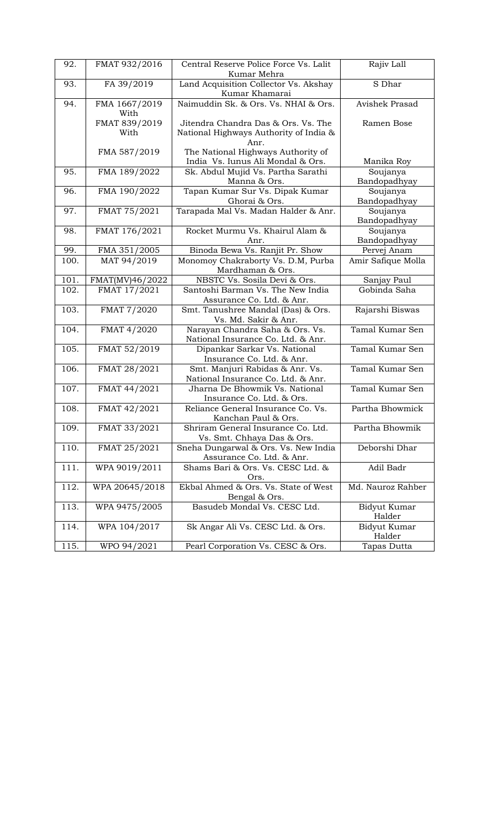| 92.  | FMAT 932/2016   | Central Reserve Police Force Vs. Lalit | Rajiv Lall         |
|------|-----------------|----------------------------------------|--------------------|
|      |                 | Kumar Mehra                            |                    |
| 93.  | FA 39/2019      | Land Acquisition Collector Vs. Akshay  | S Dhar             |
|      |                 | Kumar Khamarai                         |                    |
| 94.  | FMA 1667/2019   | Naimuddin Sk. & Ors. Vs. NHAI & Ors.   | Avishek Prasad     |
|      | With            |                                        |                    |
|      | FMAT 839/2019   | Jitendra Chandra Das & Ors. Vs. The    | Ramen Bose         |
|      | With            | National Highways Authority of India & |                    |
|      |                 | Anr.                                   |                    |
|      | FMA 587/2019    | The National Highways Authority of     |                    |
|      |                 |                                        |                    |
|      |                 | India Vs. Iunus Ali Mondal & Ors.      | Manika Roy         |
| 95.  | FMA 189/2022    | Sk. Abdul Mujid Vs. Partha Sarathi     | Soujanya           |
|      |                 | Manna & Ors.                           | Bandopadhyay       |
| 96.  | FMA 190/2022    | Tapan Kumar Sur Vs. Dipak Kumar        | Soujanya           |
|      |                 | Ghorai & Ors.                          | Bandopadhyay       |
| 97.  | FMAT 75/2021    | Tarapada Mal Vs. Madan Halder & Anr.   | Soujanya           |
|      |                 |                                        | Bandopadhyay       |
| 98.  | FMAT 176/2021   | Rocket Murmu Vs. Khairul Alam &        | Soujanya           |
|      |                 | Anr.                                   | Bandopadhyay       |
| 99.  | FMA 351/2005    | Binoda Bewa Vs. Ranjit Pr. Show        | Pervej Anam        |
| 100. | MAT 94/2019     | Monomoy Chakraborty Vs. D.M, Purba     | Amir Safique Molla |
|      |                 | Mardhaman & Ors.                       |                    |
| 101. | FMAT(MV)46/2022 | NBSTC Vs. Sosila Devi & Ors.           | Sanjay Paul        |
| 102. |                 | Santoshi Barman Vs. The New India      | Gobinda Saha       |
|      | FMAT 17/2021    |                                        |                    |
|      |                 | Assurance Co. Ltd. & Anr.              |                    |
| 103. | FMAT 7/2020     | Smt. Tanushree Mandal (Das) & Ors.     | Rajarshi Biswas    |
|      |                 | Vs. Md. Sakir & Anr.                   |                    |
| 104. | FMAT 4/2020     | Narayan Chandra Saha & Ors. Vs.        | Tamal Kumar Sen    |
|      |                 | National Insurance Co. Ltd. & Anr.     |                    |
| 105. | FMAT 52/2019    | Dipankar Sarkar Vs. National           | Tamal Kumar Sen    |
|      |                 | Insurance Co. Ltd. & Anr.              |                    |
| 106. | FMAT 28/2021    | Smt. Manjuri Rabidas & Anr. Vs.        | Tamal Kumar Sen    |
|      |                 | National Insurance Co. Ltd. & Anr.     |                    |
| 107. | FMAT 44/2021    | Jharna De Bhowmik Vs. National         | Tamal Kumar Sen    |
|      |                 | Insurance Co. Ltd. & Ors.              |                    |
| 108. | FMAT 42/2021    | Reliance General Insurance Co. Vs.     | Partha Bhowmick    |
|      |                 | Kanchan Paul & Ors.                    |                    |
| 109. | FMAT 33/2021    | Shriram General Insurance Co. Ltd.     | Partha Bhowmik     |
|      |                 |                                        |                    |
|      |                 | Vs. Smt. Chhaya Das & Ors.             |                    |
| 110. | FMAT 25/2021    | Sneha Dungarwal & Ors. Vs. New India   | Deborshi Dhar      |
|      |                 | Assurance Co. Ltd. & Anr.              |                    |
| 111. | WPA 9019/2011   | Shams Bari & Ors. Vs. CESC Ltd. &      | Adil Badr          |
|      |                 | Ors.                                   |                    |
| 112. | WPA 20645/2018  | Ekbal Ahmed & Ors. Vs. State of West   | Md. Nauroz Rahber  |
|      |                 | Bengal & Ors.                          |                    |
| 113. | WPA 9475/2005   | Basudeb Mondal Vs. CESC Ltd.           | Bidyut Kumar       |
|      |                 |                                        | Halder             |
| 114. | WPA 104/2017    | Sk Angar Ali Vs. CESC Ltd. & Ors.      | Bidyut Kumar       |
|      |                 |                                        | Halder             |
| 115. | WPO 94/2021     | Pearl Corporation Vs. CESC & Ors.      | Tapas Dutta        |
|      |                 |                                        |                    |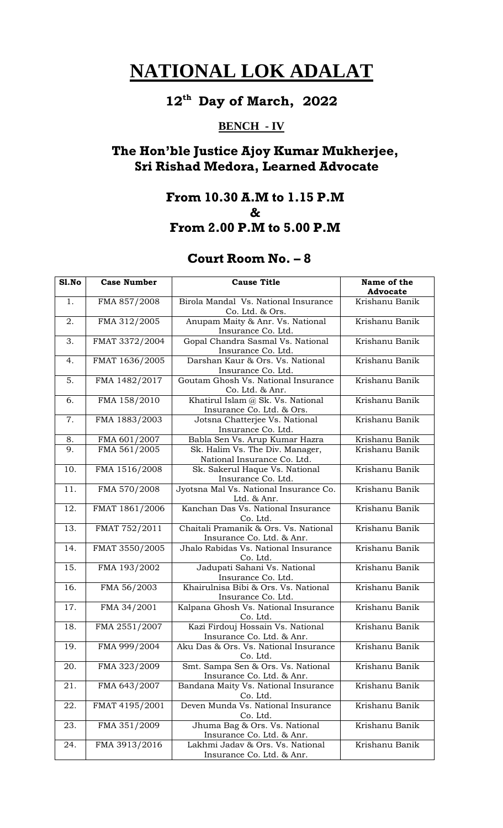#### **12 th Day of March, 2022**

## **BENCH - IV**

## **The Hon'ble Justice Ajoy Kumar Mukherjee, Sri Rishad Medora, Learned Advocate**

## **From 10.30 A.M to 1.15 P.M & From 2.00 P.M to 5.00 P.M**

| S1.No             | <b>Case Number</b> | <b>Cause Title</b>                                             | Name of the     |
|-------------------|--------------------|----------------------------------------------------------------|-----------------|
|                   |                    |                                                                | <b>Advocate</b> |
| 1.                | FMA 857/2008       | Birola Mandal Vs. National Insurance                           | Krishanu Banik  |
|                   |                    | Co. Ltd. & Ors.                                                |                 |
| 2.                | FMA 312/2005       | Anupam Maity & Anr. Vs. National                               | Krishanu Banik  |
|                   |                    | Insurance Co. Ltd.                                             |                 |
| 3.                | FMAT 3372/2004     | Gopal Chandra Sasmal Vs. National                              | Krishanu Banik  |
|                   |                    | Insurance Co. Ltd.                                             |                 |
| 4.                | FMAT 1636/2005     | Darshan Kaur & Ors. Vs. National                               | Krishanu Banik  |
|                   |                    | Insurance Co. Ltd.                                             |                 |
| 5.                | FMA 1482/2017      | Goutam Ghosh Vs. National Insurance                            | Krishanu Banik  |
|                   |                    | Co. Ltd. & Anr.                                                |                 |
| 6.                | FMA 158/2010       | Khatirul Islam @ Sk. Vs. National                              | Krishanu Banik  |
|                   |                    | Insurance Co. Ltd. & Ors.                                      |                 |
| 7.                | FMA 1883/2003      | Jotsna Chatterjee Vs. National                                 | Krishanu Banik  |
|                   |                    | Insurance Co. Ltd.                                             |                 |
| 8.                | FMA 601/2007       | Babla Sen Vs. Arup Kumar Hazra                                 | Krishanu Banik  |
| 9.                | FMA 561/2005       | Sk. Halim Vs. The Div. Manager,<br>National Insurance Co. Ltd. | Krishanu Banik  |
| 10.               | FMA 1516/2008      | Sk. Sakerul Haque Vs. National                                 | Krishanu Banik  |
|                   |                    | Insurance Co. Ltd.                                             |                 |
| 11.               | FMA 570/2008       | Jyotsna Mal Vs. National Insurance Co.                         | Krishanu Banik  |
|                   |                    | Ltd. & Anr.                                                    |                 |
| 12.               | FMAT 1861/2006     | Kanchan Das Vs. National Insurance                             | Krishanu Banik  |
|                   |                    | Co. Ltd.                                                       |                 |
| 13.               | FMAT 752/2011      | Chaitali Pramanik & Ors. Vs. National                          | Krishanu Banik  |
|                   |                    | Insurance Co. Ltd. & Anr.                                      |                 |
| 14.               | FMAT 3550/2005     | Jhalo Rabidas Vs. National Insurance                           | Krishanu Banik  |
|                   |                    | Co. Ltd.                                                       |                 |
| $\overline{15}$ . | FMA 193/2002       | Jadupati Sahani Vs. National                                   | Krishanu Banik  |
|                   |                    | Insurance Co. Ltd.                                             |                 |
| 16.               | FMA 56/2003        | Khairulnisa Bibi & Ors. Vs. National                           | Krishanu Banik  |
|                   |                    | Insurance Co. Ltd.                                             |                 |
| 17.               | FMA 34/2001        | Kalpana Ghosh Vs. National Insurance                           | Krishanu Banik  |
|                   |                    | Co. Ltd.                                                       |                 |
| 18.               | FMA 2551/2007      | Kazi Firdouj Hossain Vs. National                              | Krishanu Banik  |
|                   |                    | Insurance Co. Ltd. & Anr.                                      |                 |
| 19.               | FMA 999/2004       | Aku Das & Ors. Vs. National Insurance                          | Krishanu Banik  |
|                   |                    | Co. Ltd.                                                       |                 |
| 20.               | FMA 323/2009       | Smt. Sampa Sen & Ors. Vs. National                             | Krishanu Banik  |
|                   |                    | Insurance Co. Ltd. & Anr.                                      |                 |
| 21.               | FMA 643/2007       | Bandana Maity Vs. National Insurance                           | Krishanu Banik  |
| 22.               |                    | Co. Ltd.<br>Deven Munda Vs. National Insurance                 | Krishanu Banik  |
|                   | FMAT 4195/2001     | Co. Ltd.                                                       |                 |
| 23.               | FMA 351/2009       | Jhuma Bag & Ors. Vs. National                                  | Krishanu Banik  |
|                   |                    | Insurance Co. Ltd. & Anr.                                      |                 |
| 24.               | FMA 3913/2016      | Lakhmi Jadav & Ors. Vs. National                               | Krishanu Banik  |
|                   |                    | Insurance Co. Ltd. & Anr.                                      |                 |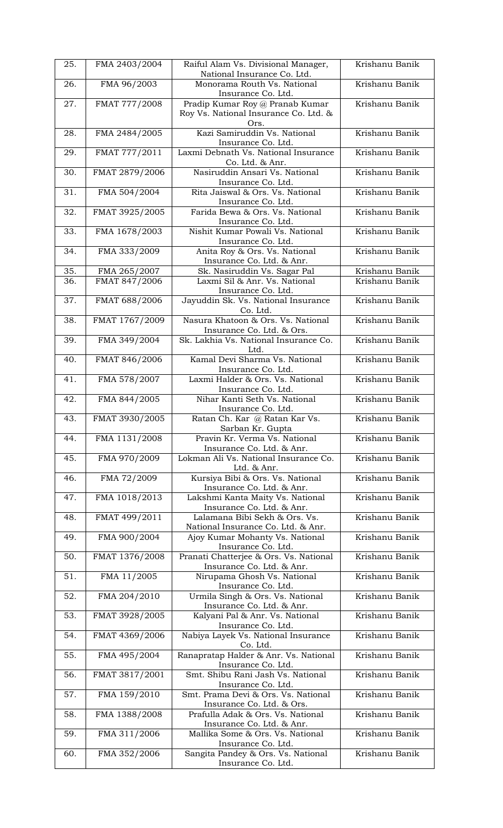| 25.        | FMA 2403/2004                 | Raiful Alam Vs. Divisional Manager,                                      | Krishanu Banik                   |
|------------|-------------------------------|--------------------------------------------------------------------------|----------------------------------|
| 26.        | FMA 96/2003                   | National Insurance Co. Ltd.<br>Monorama Routh Vs. National               | Krishanu Banik                   |
|            |                               | Insurance Co. Ltd.                                                       |                                  |
| 27.        | FMAT 777/2008                 | Pradip Kumar Roy @ Pranab Kumar<br>Roy Vs. National Insurance Co. Ltd. & | Krishanu Banik                   |
|            |                               | Ors.                                                                     |                                  |
| 28.        | FMA 2484/2005                 | Kazi Samiruddin Vs. National                                             | Krishanu Banik                   |
| 29.        | FMAT 777/2011                 | Insurance Co. Ltd.<br>Laxmi Debnath Vs. National Insurance               | Krishanu Banik                   |
|            |                               | Co. Ltd. & Anr.                                                          |                                  |
| 30.        | FMAT 2879/2006                | Nasiruddin Ansari Vs. National                                           | Krishanu Banik                   |
| 31.        | FMA 504/2004                  | Insurance Co. Ltd.<br>Rita Jaiswal & Ors. Vs. National                   | Krishanu Banik                   |
|            |                               | Insurance Co. Ltd.                                                       |                                  |
| 32.        | FMAT 3925/2005                | Farida Bewa & Ors. Vs. National                                          | Krishanu Banik                   |
| 33.        | FMA 1678/2003                 | Insurance Co. Ltd.<br>Nishit Kumar Powali Vs. National                   | Krishanu Banik                   |
|            |                               | Insurance Co. Ltd.                                                       |                                  |
| 34.        | FMA 333/2009                  | Anita Roy & Ors. Vs. National                                            | Krishanu Banik                   |
|            |                               | Insurance Co. Ltd. & Anr.                                                |                                  |
| 35.<br>36. | FMA 265/2007<br>FMAT 847/2006 | Sk. Nasiruddin Vs. Sagar Pal<br>Laxmi Sil & Anr. Vs. National            | Krishanu Banik<br>Krishanu Banik |
|            |                               | Insurance Co. Ltd.                                                       |                                  |
| 37.        | FMAT 688/2006                 | Jayuddin Sk. Vs. National Insurance                                      | Krishanu Banik                   |
| 38.        | FMAT 1767/2009                | Co. Ltd.<br>Nasura Khatoon & Ors. Vs. National                           | Krishanu Banik                   |
|            |                               | Insurance Co. Ltd. & Ors.                                                |                                  |
| 39.        | FMA 349/2004                  | Sk. Lakhia Vs. National Insurance Co.                                    | Krishanu Banik                   |
|            |                               | Ltd.                                                                     |                                  |
| 40.        | FMAT 846/2006                 | Kamal Devi Sharma Vs. National<br>Insurance Co. Ltd.                     | Krishanu Banik                   |
| 41.        | FMA 578/2007                  | Laxmi Halder & Ors. Vs. National                                         | Krishanu Banik                   |
|            |                               | Insurance Co. Ltd.                                                       |                                  |
| 42.        | FMA 844/2005                  | Nihar Kanti Seth Vs. National<br>Insurance Co. Ltd.                      | Krishanu Banik                   |
| 43.        | FMAT 3930/2005                | Ratan Ch. Kar @ Ratan Kar Vs.                                            | Krishanu Banik                   |
|            |                               | Sarban Kr. Gupta                                                         |                                  |
| 44.        | FMA 1131/2008                 | Pravin Kr. Verma Vs. National<br>Insurance Co. Ltd. & Anr.               | Krishanu Banik                   |
| 45.        | FMA 970/2009                  | Lokman Ali Vs. National Insurance Co.<br>Ltd. & Anr.                     | Krishanu Banik                   |
| 46.        | FMA 72/2009                   | Kursiya Bibi & Ors. Vs. National                                         | Krishanu Banik                   |
|            |                               | Insurance Co. Ltd. & Anr.                                                |                                  |
| 47.        | FMA 1018/2013                 | Lakshmi Kanta Maity Vs. National<br>Insurance Co. Ltd. & Anr.            | Krishanu Banik                   |
| 48.        | FMAT 499/2011                 | Lalamana Bibi Sekh & Ors. Vs.                                            | Krishanu Banik                   |
|            |                               | National Insurance Co. Ltd. & Anr.                                       |                                  |
| 49.        | FMA 900/2004                  | Ajoy Kumar Mohanty Vs. National<br>Insurance Co. Ltd.                    | Krishanu Banik                   |
| 50.        | FMAT 1376/2008                | Pranati Chatterjee & Ors. Vs. National                                   | Krishanu Banik                   |
|            |                               | Insurance Co. Ltd. & Anr.                                                |                                  |
| 51.        | FMA 11/2005                   | Nirupama Ghosh Vs. National<br>Insurance Co. Ltd.                        | Krishanu Banik                   |
| 52.        | FMA 204/2010                  | Urmila Singh & Ors. Vs. National                                         | Krishanu Banik                   |
|            |                               | Insurance Co. Ltd. & Anr.                                                |                                  |
| 53.        | FMAT 3928/2005                | Kalyani Pal & Anr. Vs. National<br>Insurance Co. Ltd.                    | Krishanu Banik                   |
| 54.        | FMAT 4369/2006                | Nabiya Layek Vs. National Insurance                                      | Krishanu Banik                   |
| 55.        | FMA 495/2004                  | Co. Ltd.<br>Ranapratap Halder & Anr. Vs. National                        | Krishanu Banik                   |
|            |                               | Insurance Co. Ltd.                                                       |                                  |
| 56.        | FMAT 3817/2001                | Smt. Shibu Rani Jash Vs. National<br>Insurance Co. Ltd.                  | Krishanu Banik                   |
| 57.        | FMA 159/2010                  | Smt. Prama Devi & Ors. Vs. National<br>Insurance Co. Ltd. & Ors.         | Krishanu Banik                   |
| 58.        | FMA 1388/2008                 | Prafulla Adak & Ors. Vs. National                                        | Krishanu Banik                   |
|            |                               | Insurance Co. Ltd. & Anr.                                                |                                  |
| 59.        | FMA 311/2006                  | Mallika Some & Ors. Vs. National<br>Insurance Co. Ltd.                   | Krishanu Banik                   |
| 60.        | FMA 352/2006                  | Sangita Pandey & Ors. Vs. National                                       | Krishanu Banik                   |
|            |                               | Insurance Co. Ltd.                                                       |                                  |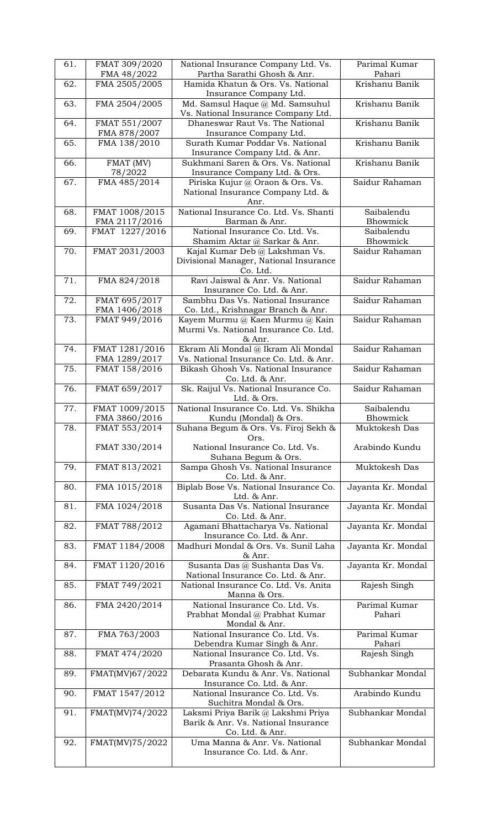| 61. | FMAT 309/2020                   | National Insurance Company Ltd. Vs.<br>Partha Sarathi Ghosh & Anr.                           | Parimal Kumar<br>Pahari       |
|-----|---------------------------------|----------------------------------------------------------------------------------------------|-------------------------------|
| 62. | FMA 48/2022<br>FMA 2505/2005    | Hamida Khatun & Ors. Vs. National                                                            | Krishanu Banik                |
|     |                                 | Insurance Company Ltd.                                                                       |                               |
| 63. | FMA 2504/2005                   | Md. Samsul Haque @ Md. Samsuhul<br>Vs. National Insurance Company Ltd.                       | Krishanu Banik                |
| 64. | FMAT 551/2007<br>FMA 878/2007   | Dhaneswar Raut Vs. The National<br>Insurance Company Ltd.                                    | Krishanu Banik                |
| 65. | FMA 138/2010                    | Surath Kumar Poddar Vs. National                                                             | Krishanu Banik                |
| 66. | FMAT (MV)                       | Insurance Company Ltd. & Anr.<br>Sukhmani Saren & Ors. Vs. National                          | Krishanu Banik                |
|     | 78/2022                         | Insurance Company Ltd. & Ors.                                                                |                               |
| 67. | FMA 485/2014                    | Piriska Kujur @ Oraon & Ors. Vs.<br>National Insurance Company Ltd. &<br>Anr.                | Saidur Rahaman                |
| 68. | FMAT 1008/2015<br>FMA 2117/2016 | National Insurance Co. Ltd. Vs. Shanti<br>Barman & Anr.                                      | Saibalendu<br><b>Bhowmick</b> |
| 69. | FMAT 1227/2016                  | National Insurance Co. Ltd. Vs.                                                              | Saibalendu                    |
| 70. | FMAT 2031/2003                  | Shamim Aktar @ Sarkar & Anr.<br>Kajal Kumar Deb @ Lakshman Vs.                               | Bhowmick<br>Saidur Rahaman    |
|     |                                 | Divisional Manager, National Insurance<br>Co. Ltd.                                           |                               |
| 71. | FMA 824/2018                    | Ravi Jaiswal & Anr. Vs. National<br>Insurance Co. Ltd. & Anr.                                | Saidur Rahaman                |
| 72. | FMAT 695/2017                   | Sambhu Das Vs. National Insurance                                                            | Saidur Rahaman                |
| 73. | FMA 1406/2018                   | Co. Ltd., Krishnagar Branch & Anr.                                                           | Saidur Rahaman                |
|     | FMAT 949/2016                   | Kayem Murmu @ Kaen Murmu @ Kain<br>Murmi Vs. National Insurance Co. Ltd.<br>& Anr.           |                               |
| 74. | FMAT 1281/2016                  | Ekram Ali Mondal @ Ikram Ali Mondal                                                          | Saidur Rahaman                |
| 75. | FMA 1289/2017<br>FMAT 158/2016  | Vs. National Insurance Co. Ltd. & Anr.<br>Bikash Ghosh Vs. National Insurance                | Saidur Rahaman                |
|     |                                 | Co. Ltd. & Anr.                                                                              |                               |
| 76. | FMAT 659/2017                   | Sk. Raijul Vs. National Insurance Co.<br>Ltd. & Ors.                                         | Saidur Rahaman                |
| 77. | FMAT 1009/2015<br>FMA 3860/2016 | National Insurance Co. Ltd. Vs. Shikha<br>Kundu (Mondal) & Ors.                              | Saibalendu<br>Bhowmick        |
| 78. | FMAT 553/2014                   | Suhana Begum & Ors. Vs. Firoj Sekh &                                                         | Muktokesh Das                 |
|     | FMAT 330/2014                   | Ors.<br>National Insurance Co. Ltd. Vs.                                                      | Arabindo Kundu                |
|     |                                 | Suhana Begum & Ors.                                                                          |                               |
| 79. | FMAT 813/2021                   | Sampa Ghosh Vs. National Insurance<br>Co. Ltd. & Anr.                                        | Muktokesh Das                 |
| 80. | FMA 1015/2018                   | Biplab Bose Vs. National Insurance Co.<br>Ltd. & Anr.                                        | Jayanta Kr. Mondal            |
| 81. | FMA 1024/2018                   | Susanta Das Vs. National Insurance<br>Co. Ltd. & Anr.                                        | Jayanta Kr. Mondal            |
| 82. | FMAT 788/2012                   | Agamani Bhattacharya Vs. National<br>Insurance Co. Ltd. & Anr.                               | Jayanta Kr. Mondal            |
| 83. | FMAT 1184/2008                  | Madhuri Mondal & Ors. Vs. Sunil Laha<br>& Anr.                                               | Jayanta Kr. Mondal            |
| 84. | FMAT 1120/2016                  | Susanta Das @ Sushanta Das Vs.<br>National Insurance Co. Ltd. & Anr.                         | Jayanta Kr. Mondal            |
| 85. | FMAT 749/2021                   | National Insurance Co. Ltd. Vs. Anita<br>Manna & Ors.                                        | Rajesh Singh                  |
| 86. | FMA 2420/2014                   | National Insurance Co. Ltd. Vs.<br>Prabhat Mondal @ Prabhat Kumar<br>Mondal & Anr.           | Parimal Kumar<br>Pahari       |
| 87. | FMA 763/2003                    | National Insurance Co. Ltd. Vs.<br>Debendra Kumar Singh & Anr.                               | Parimal Kumar<br>Pahari       |
| 88. | FMAT 474/2020                   | National Insurance Co. Ltd. Vs.<br>Prasanta Ghosh & Anr.                                     | Rajesh Singh                  |
| 89. | FMAT(MV)67/2022                 | Debarata Kundu & Anr. Vs. National<br>Insurance Co. Ltd. & Anr.                              | Subhankar Mondal              |
| 90. | FMAT 1547/2012                  | National Insurance Co. Ltd. Vs.<br>Suchitra Mondal & Ors.                                    | Arabindo Kundu                |
| 91. | FMAT(MV)74/2022                 | Laksmi Priya Barik @ Lakshmi Priya<br>Barik & Anr. Vs. National Insurance<br>Co. Ltd. & Anr. | Subhankar Mondal              |
| 92. | FMAT(MV)75/2022                 | Uma Manna & Anr. Vs. National<br>Insurance Co. Ltd. & Anr.                                   | Subhankar Mondal              |